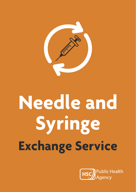

# **Needle and Syringe Exchange Service**

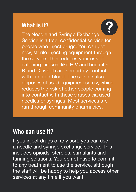# **What is it?**

The Needle and Syringe Exchange Service is a free, confidential service for people who inject drugs. You can get new, sterile injecting equipment through the service. This reduces your risk of catching viruses, like HIV and hepatitis B and C, which are spread by contact with infected blood. The service also disposes of used equipment safely, which reduces the risk of other people coming into contact with these viruses via used needles or syringes. Most services are run through community pharmacies.

# **Who can use it?**

If you inject drugs of any sort, you can use a needle and syringe exchange service. This includes opioids, steroids, stimulants and tanning solutions. You do not have to commit to any treatment to use the service, although the staff will be happy to help you access other services at any time if you want.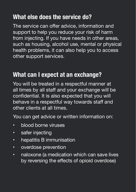# **What else does the service do?**

The service can offer advice, information and support to help you reduce your risk of harm from injecting. If you have needs in other areas, such as housing, alcohol use, mental or physical health problems, it can also help you to access other support services.

# **What can I expect at an exchange?**

You will be treated in a respectful manner at all times by all staff and your exchange will be confidential. It is also expected that you will behave in a respectful way towards staff and other clients at all times.

You can get advice or written information on:

- blood borne viruses
- safer injecting
- hepatitis B immunisation
- overdose prevention
- naloxone (a medication which can save lives by reversing the effects of opioid overdose)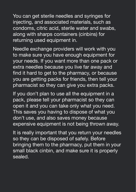You can get sterile needles and syringes for injecting, and associated materials, such as condoms, citric acid, sterile water and swabs, along with sharps containers (cinbins) for returning used equipment in.

Needle exchange providers will work with you to make sure you have enough equipment for your needs. If you want more than one pack or extra needles because you live far away and find it hard to get to the pharmacy, or because you are getting packs for friends, then tell your pharmacist so they can give you extra packs.

If you don't plan to use all the equipment in a pack, please tell your pharmacist so they can open it and you can take only what you need. This saves you having to dispose of what you don't use, and also saves money because expensive equipment is not being thrown away.

It is really important that you return your needles so they can be disposed of safely. Before bringing them to the pharmacy, put them in your small black cinbin, and make sure it is properly sealed.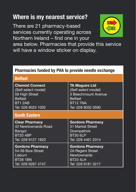# **Where is my nearest service?**

There are 21 pharmacy-based services currently operating across Northern Ireland – find one in your



area below. Pharmacies that provide this service will have a window sticker on display.

## **Pharmacies funded by PHA to provide needle exchange**

| <b>Belfast</b>          |                         |  |
|-------------------------|-------------------------|--|
| <b>Chemist Connect</b>  | <b>TA Maguire Ltd</b>   |  |
| (Self-select model)     | (Self-select model)     |  |
| 59 High Street          | 3 Beechmount Avenue     |  |
| <b>Belfast</b>          | <b>Belfast</b>          |  |
| <b>BT1 2AB</b>          | <b>BT12 7NA</b>         |  |
| Tel: 028 9023 1002      | Tel: 028 9032 0590      |  |
| <b>South Eastern</b>    |                         |  |
| <b>Clear Pharmacy</b>   | <b>Gordons Pharmacy</b> |  |
| 42 Newtownards Road     | 31 Market Street        |  |
| Bangor                  | Downpatrick             |  |
| <b>BT204BP</b>          | <b>BT30 6LP</b>         |  |
| Tel: 028 9127 1820      | Tel: 028 4461 2014      |  |
| <b>Gordons Pharmacy</b> | <b>Gordons Pharmacy</b> |  |
| 54-56 Bow Street        | 2A Regent Street        |  |
| Lisburn                 | <b>Newtownards</b>      |  |
| <b>BT28 1BN</b>         | BT23 4LH                |  |
| Tel: 028 9267 4747      | Tel: 028 9181 3217      |  |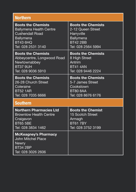| <b>Northern</b>                                                                                            |                           |  |
|------------------------------------------------------------------------------------------------------------|---------------------------|--|
| <b>Boots the Chemists</b>                                                                                  | <b>Boots the Chemists</b> |  |
| <b>Ballymena Health Centre</b>                                                                             | 2-12 Queen Street         |  |
| <b>Cushendall Road</b>                                                                                     | Harryville                |  |
| <b>Ballymena</b>                                                                                           | Ballymena                 |  |
| <b>BT43 6HQ</b>                                                                                            | <b>BT42 2BB</b>           |  |
| Tel: 028 2531 3140                                                                                         | Tel: 028 2564 5994        |  |
| <b>Boots the Chemists</b>                                                                                  | <b>Boots the Chemists</b> |  |
| Abbeycentre, Longwood Road                                                                                 | 8 High Street             |  |
| Newtownabbey                                                                                               | Antrim                    |  |
| BT37 9UH                                                                                                   | <b>BT41 4AN</b>           |  |
| Tel: 028 9036 5910                                                                                         | Tel: 028 9446 2224        |  |
| <b>Boots the Chemists</b>                                                                                  | <b>Boots the Chemists</b> |  |
| 26-28 Church Street                                                                                        | 5-7 James Street          |  |
| Coleraine                                                                                                  | Cookstown                 |  |
| <b>BT52 1AR</b>                                                                                            | <b>BT80 8AA</b>           |  |
| Tel: 028 7035 6666                                                                                         | Tel: 028 8676 6176        |  |
| <b>Southern</b>                                                                                            |                           |  |
| <b>Northern Pharmacies Ltd</b>                                                                             | <b>Boots the Chemist</b>  |  |
| <b>Brownlow Health Centre</b>                                                                              | <b>15 Scotch Street</b>   |  |
| Craigavon                                                                                                  | Armagh                    |  |
| <b>BT65 5BE</b>                                                                                            | <b>BT61 7BY</b>           |  |
| Tel: 028 3834 1462                                                                                         | Tel: 028 3752 3199        |  |
| <b>McKeagney's Pharmacy</b><br>John Mitchel Place<br><b>Newry</b><br><b>BT34 2BP</b><br>Tel: 028 3026 2606 |                           |  |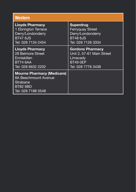| Western                                                                                                        |                           |
|----------------------------------------------------------------------------------------------------------------|---------------------------|
| <b>Lloyds Pharmacy</b>                                                                                         | <b>Superdrug</b>          |
| 1 Ebrington Terrace                                                                                            | <b>Ferryquay Street</b>   |
| Derry/Londonderry                                                                                              | Derry/Londonderry         |
| <b>BT47 6JS</b>                                                                                                | <b>BT48 6JS</b>           |
| Tel: 028 7134 2454                                                                                             | Tel: 028 7126 3334        |
| <b>Lloyds Pharmacy</b>                                                                                         | <b>Gordons Pharmacy</b>   |
| 28 Belmore Street                                                                                              | Unit 2, 57-61 Main Street |
| Enniskillen                                                                                                    | Limavady                  |
| <b>BT74 6AA</b>                                                                                                | BT49 OEP                  |
| Tel: 028 6632 2202                                                                                             | Tel: 028 7776 3438        |
| <b>Mourne Pharmacy (Medicare)</b><br>8A Beechmount Avenue<br>Strabane<br><b>BT82 9BD</b><br>Tel: 028 7188 5548 |                           |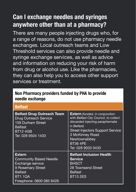# **Can I exchange needles and syringes anywhere other than at a pharmacy?**

There are many people injecting drugs who, for a range of reasons, do not use pharmacy needle exchanges. Local outreach teams and Low Threshold services can also provide needle and syringe exchange services, as well as advice and information on reducing your risk of harm from drug or alcohol use. Like the pharmacies, they can also help you to access other support services or treatment.

## **Non Pharmacy providers funded by PHA to provide needle exchange**

| <b>Belfast</b>                                                                                                                                  |                                                                                                                                                                                                                                                           |
|-------------------------------------------------------------------------------------------------------------------------------------------------|-----------------------------------------------------------------------------------------------------------------------------------------------------------------------------------------------------------------------------------------------------------|
| <b>Belfast Drug Outreach Team</b><br>Drug Outreach Service<br>159 Durham Street<br><b>Belfast</b><br><b>BT12 4GB</b><br>Tel: 028 9504 1433      | <b>Extern</b> (funded, in conjunction<br>with Belfast City Council, to collect<br>discarded injecting paraphernalia<br>in Belfast)<br><b>Street Injectors Support Service</b><br>3 McKinney Road<br>Newtownabbey<br><b>BT36 4PE</b><br>Tel: 028 9033 0433 |
| <b>Extern</b><br><b>Community Based Needle</b><br>Exchange service<br>9 Rosemary Street<br><b>Belfast</b><br>BT11QA<br>Freephone: 0800 085 8426 | <b>Belfast Inclusion Health</b><br>Service<br><b>BHSCT</b><br>28 Townsend Street<br><b>Belfast</b><br><b>BT13 2ES</b>                                                                                                                                     |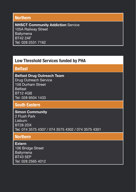#### **Northern**

**NHSCT Community Addiction** Service 105A Railway Street **Ballymena** BT42 2AF Tel: 028 2531 7162

## **Low Threshold Services funded by PHA**

## **Belfast**

**Belfast Drug Outreach Team** Drug Outreach Service 159 Durham Street Belfast BT12 4GB Tel: 028 9504 1433

## **South Eastern**

**Simon Community** 2 Flush Park Lisburn BT28 2DX Tel: 074 3575 4307 / 074 3575 4302 / 074 3575 4301

### **Northern**

**Extern** 106 Bridge Street Ballymena BT43 5EP Tel: 028 2565 4012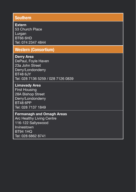#### **Southern**

#### **Extern**

53 Church Place Lurgan BT66 6HD Tel: 074 2347 4844

## **Western (Consortium)**

**Derry Area**  DePaul, Foyle Haven 23a John Street Derry/Londonderry BT48 6JY Tel: 028 7136 5259 / 028 7126 0839

#### **Limavady Area**

First Housing 28A Bishop Street Derry/Londonderry BT48 6PP Tel: 028 7137 1849

#### **Fermanagh and Omagh Areas**

Arc Healthy Living Centre 116-122 Sallyswood Irvinestown BT94 1HQ Tel: 028 6862 8741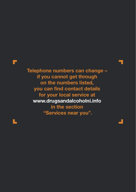

**Telephone numbers can change – if you cannot get through on the numbers listed, you can find contact details for your local service at www.drugsandalcoholni.info in the section "Services near you".**